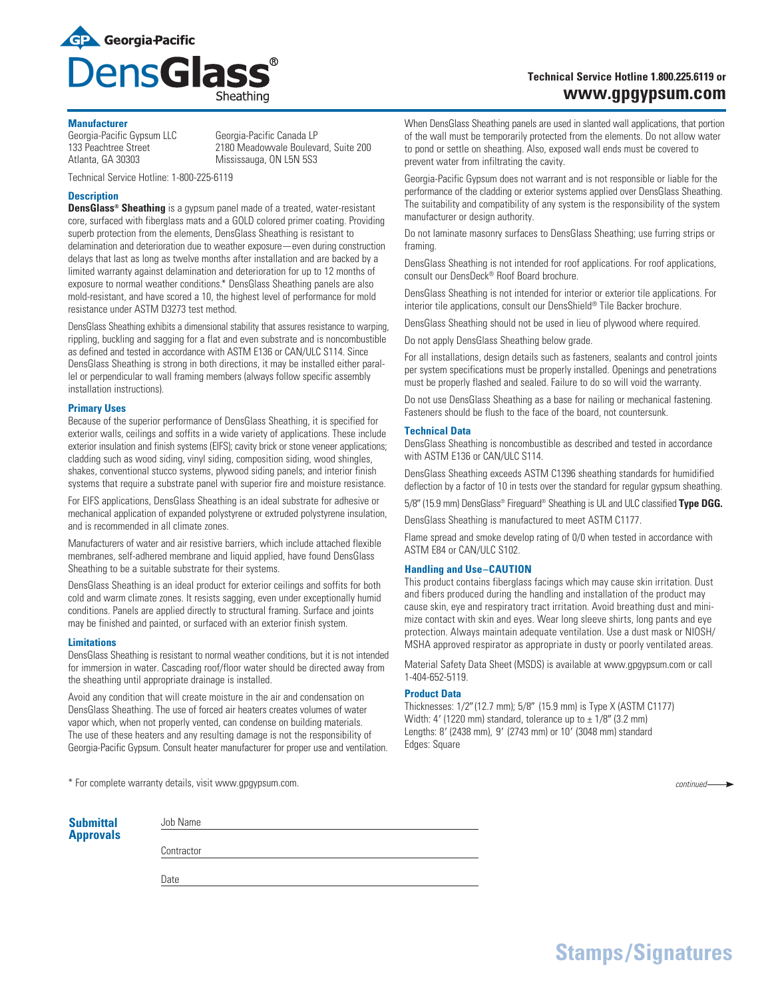

# **Technical Service Hotline 1.800.225.6119 or www.gpgypsum.com**

#### **Manufacturer**

Georgia-Pacific Gypsum LLC Georgia-Pacific Canada LP<br>133 Peachtree Street 2180 Meadowvale Bouleva

133 Peachtree Street 2180 Meadowvale Boulevard, Suite 200<br>
Atlanta, GA 30303 Mississauga, ON L5N 5S3 Mississauga, ON L5N 5S3

Technical Service Hotline: 1-800-225-6119

# **Description**

**DensGlass® Sheathing** is a gypsum panel made of a treated, water-resistant core, surfaced with fiberglass mats and a GOLD colored primer coating. Providing superb protection from the elements, DensGlass Sheathing is resistant to delamination and deterioration due to weather exposure — even during construction delays that last as long as twelve months after installation and are backed by a limited warranty against delamination and deterioration for up to 12 months of exposure to normal weather conditions.\* DensGlass Sheathing panels are also mold-resistant, and have scored a 10, the highest level of performance for mold resistance under ASTM D3273 test method.

DensGlass Sheathing exhibits a dimensional stability that assures resistance to warping, rippling, buckling and sagging for a flat and even substrate and is noncombustible as defined and tested in accordance with ASTM E136 or CAN/ULC S114. Since DensGlass Sheathing is strong in both directions, it may be installed either parallel or perpendicular to wall framing members (always follow specific assembly installation instructions).

# **Primary Uses**

Because of the superior performance of DensGlass Sheathing, it is specified for exterior walls, ceilings and soffits in a wide variety of applications. These include exterior insulation and finish systems (EIFS); cavity brick or stone veneer applications; cladding such as wood siding, vinyl siding, composition siding, wood shingles, shakes, conventional stucco systems, plywood siding panels; and interior finish systems that require a substrate panel with superior fire and moisture resistance.

For EIFS applications, DensGlass Sheathing is an ideal substrate for adhesive or mechanical application of expanded polystyrene or extruded polystyrene insulation, and is recommended in all climate zones.

Manufacturers of water and air resistive barriers, which include attached flexible membranes, self-adhered membrane and liquid applied, have found DensGlass Sheathing to be a suitable substrate for their systems.

DensGlass Sheathing is an ideal product for exterior ceilings and soffits for both cold and warm climate zones. It resists sagging, even under exceptionally humid conditions. Panels are applied directly to structural framing. Surface and joints may be finished and painted, or surfaced with an exterior finish system.

# **Limitations**

DensGlass Sheathing is resistant to normal weather conditions, but it is not intended for immersion in water. Cascading roof/floor water should be directed away from the sheathing until appropriate drainage is installed.

Avoid any condition that will create moisture in the air and condensation on DensGlass Sheathing. The use of forced air heaters creates volumes of water vapor which, when not properly vented, can condense on building materials. The use of these heaters and any resulting damage is not the responsibility of Georgia-Pacific Gypsum. Consult heater manufacturer for proper use and ventilation.

\* For complete warranty details, visit www.gpgypsum.com.

| <b>Submittal</b> | Job Name   |
|------------------|------------|
| <b>Approvals</b> |            |
|                  | Contractor |
|                  |            |
|                  | Date       |
|                  |            |

When DensGlass Sheathing panels are used in slanted wall applications, that portion of the wall must be temporarily protected from the elements. Do not allow water to pond or settle on sheathing. Also, exposed wall ends must be covered to prevent water from infiltrating the cavity.

Georgia-Pacific Gypsum does not warrant and is not responsible or liable for the performance of the cladding or exterior systems applied over DensGlass Sheathing. The suitability and compatibility of any system is the responsibility of the system manufacturer or design authority.

Do not laminate masonry surfaces to DensGlass Sheathing; use furring strips or framing.

DensGlass Sheathing is not intended for roof applications. For roof applications, consult our DensDeck® Roof Board brochure.

DensGlass Sheathing is not intended for interior or exterior tile applications. For interior tile applications, consult our DensShield® Tile Backer brochure.

DensGlass Sheathing should not be used in lieu of plywood where required.

Do not apply DensGlass Sheathing below grade.

For all installations, design details such as fasteners, sealants and control joints per system specifications must be properly installed. Openings and penetrations must be properly flashed and sealed. Failure to do so will void the warranty.

Do not use DensGlass Sheathing as a base for nailing or mechanical fastening. Fasteners should be flush to the face of the board, not countersunk.

#### **Technical Data**

DensGlass Sheathing is noncombustible as described and tested in accordance with ASTM E136 or CAN/ULC S114.

DensGlass Sheathing exceeds ASTM C1396 sheathing standards for humidified deflection by a factor of 10 in tests over the standard for regular gypsum sheathing.

5/89 (15.9 mm) DensGlass® Fireguard® Sheathing is UL and ULC classified **Type DGG.**

DensGlass Sheathing is manufactured to meet ASTM C1177.

Flame spread and smoke develop rating of 0/0 when tested in accordance with ASTM E84 or CAN/ULC S102.

# **Handling and Use–CAUTION**

This product contains fiberglass facings which may cause skin irritation. Dust and fibers produced during the handling and installation of the product may cause skin, eye and respiratory tract irritation. Avoid breathing dust and minimize contact with skin and eyes. Wear long sleeve shirts, long pants and eye protection. Always maintain adequate ventilation. Use a dust mask or NIOSH/ MSHA approved respirator as appropriate in dusty or poorly ventilated areas.

Material Safety Data Sheet (MSDS) is available at www.gpgypsum.com or call 1-404-652-5119.

# **Product Data**

Thicknesses: 1/2" (12.7 mm); 5/8" (15.9 mm) is Type X (ASTM C1177) Width: 4' (1220 mm) standard, tolerance up to  $\pm$  1/8" (3.2 mm) Lengths: 8' (2438 mm), 9' (2743 mm) or 10' (3048 mm) standard Edges: Square

*continued*